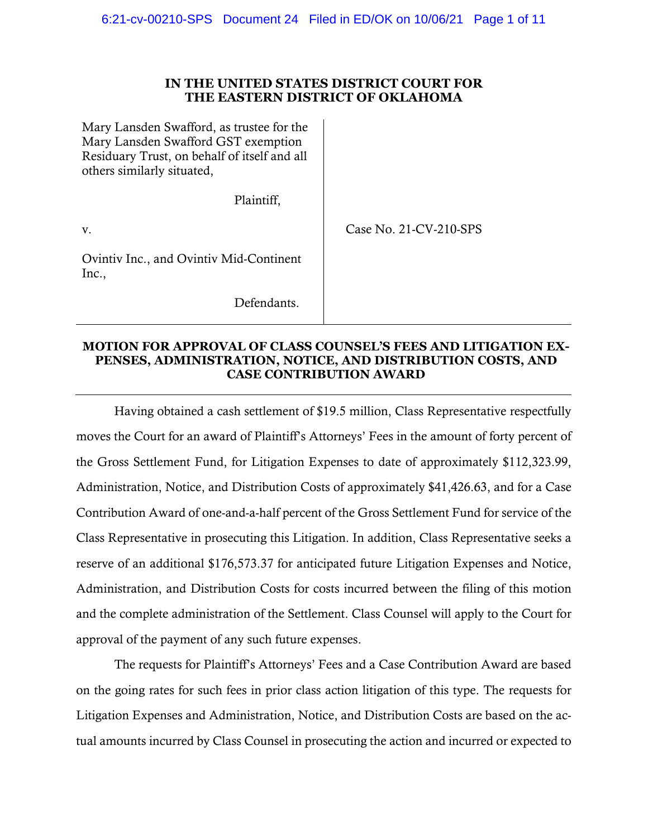# **IN THE UNITED STATES DISTRICT COURT FOR THE EASTERN DISTRICT OF OKLAHOMA**

| Mary Lansden Swafford, as trustee for the<br>Mary Lansden Swafford GST exemption<br>Residuary Trust, on behalf of itself and all<br>others similarly situated, |                        |
|----------------------------------------------------------------------------------------------------------------------------------------------------------------|------------------------|
| Plaintiff,                                                                                                                                                     |                        |
| V.                                                                                                                                                             | Case No. 21-CV-210-SPS |
| Ovintiv Inc., and Ovintiv Mid-Continent<br>Inc.,                                                                                                               |                        |
| Defendants.                                                                                                                                                    |                        |

### **MOTION FOR APPROVAL OF CLASS COUNSEL'S FEES AND LITIGATION EX-PENSES, ADMINISTRATION, NOTICE, AND DISTRIBUTION COSTS, AND CASE CONTRIBUTION AWARD**

Having obtained a cash settlement of \$19.5 million, Class Representative respectfully moves the Court for an award of Plaintiff's Attorneys' Fees in the amount of forty percent of the Gross Settlement Fund, for Litigation Expenses to date of approximately \$112,323.99, Administration, Notice, and Distribution Costs of approximately \$41,426.63, and for a Case Contribution Award of one-and-a-half percent of the Gross Settlement Fund for service of the Class Representative in prosecuting this Litigation. In addition, Class Representative seeks a reserve of an additional \$176,573.37 for anticipated future Litigation Expenses and Notice, Administration, and Distribution Costs for costs incurred between the filing of this motion and the complete administration of the Settlement. Class Counsel will apply to the Court for approval of the payment of any such future expenses.

The requests for Plaintiff's Attorneys' Fees and a Case Contribution Award are based on the going rates for such fees in prior class action litigation of this type. The requests for Litigation Expenses and Administration, Notice, and Distribution Costs are based on the actual amounts incurred by Class Counsel in prosecuting the action and incurred or expected to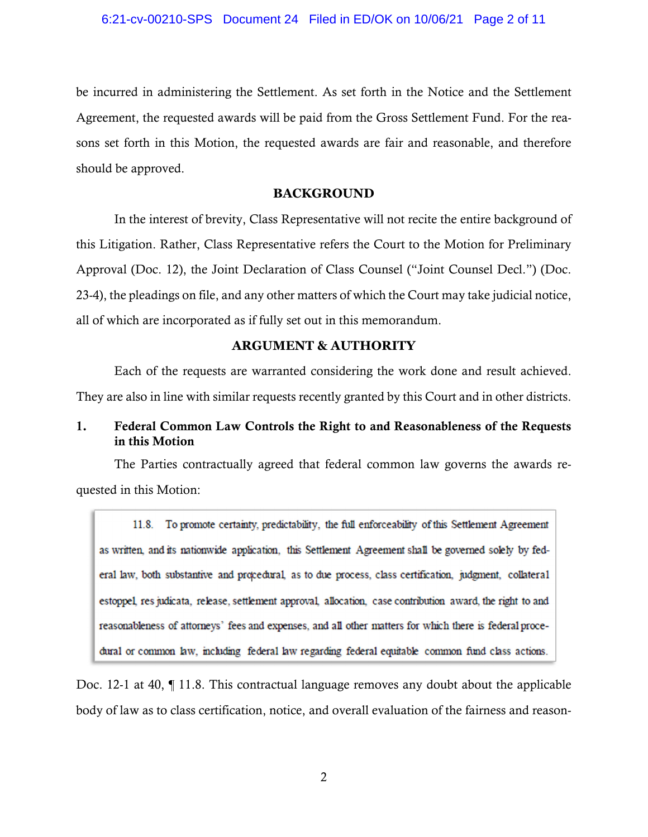be incurred in administering the Settlement. As set forth in the Notice and the Settlement Agreement, the requested awards will be paid from the Gross Settlement Fund. For the reasons set forth in this Motion, the requested awards are fair and reasonable, and therefore should be approved.

# **BACKGROUND**

In the interest of brevity, Class Representative will not recite the entire background of this Litigation. Rather, Class Representative refers the Court to the Motion for Preliminary Approval (Doc. 12), the Joint Declaration of Class Counsel ("Joint Counsel Decl.") (Doc. 23-4), the pleadings on file, and any other matters of which the Court may take judicial notice, all of which are incorporated as if fully set out in this memorandum.

# **ARGUMENT & AUTHORITY**

Each of the requests are warranted considering the work done and result achieved. They are also in line with similar requests recently granted by this Court and in other districts.

# 1. Federal Common Law Controls the Right to and Reasonableness of the Requests in this Motion

The Parties contractually agreed that federal common law governs the awards requested in this Motion:

11.8. To promote certainty, predictability, the full enforceability of this Settlement Agreement as written, and its nationwide application, this Settlement Agreement shall be governed solely by federal law, both substantive and procedural, as to due process, class certification, judgment, collateral estoppel, res judicata, release, settlement approval, allocation, case contribution award, the right to and reasonableness of attorneys' fees and expenses, and all other matters for which there is federal procedural or common law, including federal law regarding federal equitable common fund class actions.

Doc. 12-1 at 40, ¶ 11.8. This contractual language removes any doubt about the applicable body of law as to class certification, notice, and overall evaluation of the fairness and reason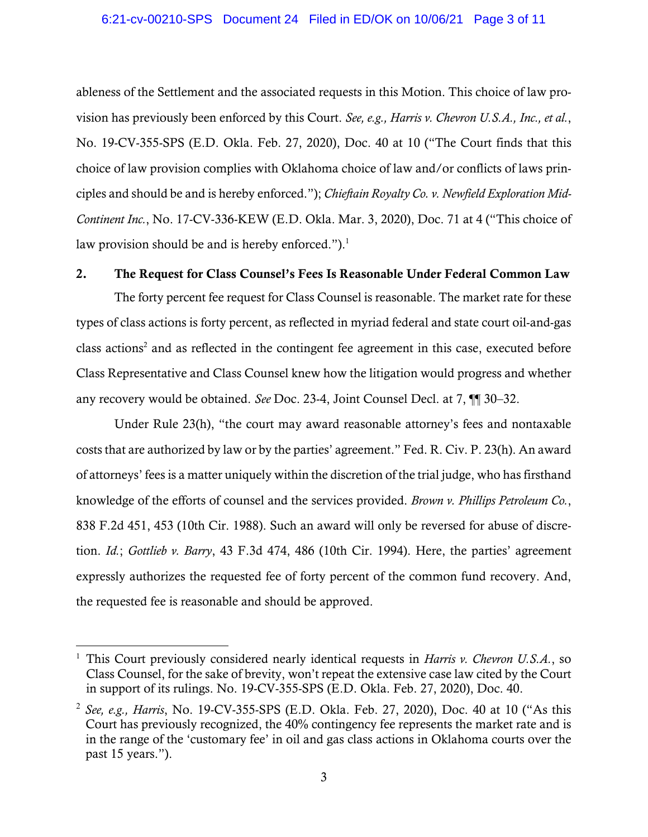ableness of the Settlement and the associated requests in this Motion. This choice of law provision has previously been enforced by this Court. *See, e.g., Harris v. Chevron U.S.A., Inc., et al.*, No. 19-CV-355-SPS (E.D. Okla. Feb. 27, 2020), Doc. 40 at 10 ("The Court finds that this choice of law provision complies with Oklahoma choice of law and/or conflicts of laws principles and should be and is hereby enforced."); *Chieftain Royalty Co. v. Newfield Exploration Mid-Continent Inc.*, No. 17-CV-336-KEW (E.D. Okla. Mar. 3, 2020), Doc. 71 at 4 ("This choice of law provision should be and is hereby enforced.").<sup>1</sup>

# 2. The Request for Class Counsel's Fees Is Reasonable Under Federal Common Law

The forty percent fee request for Class Counsel is reasonable. The market rate for these types of class actions is forty percent, as reflected in myriad federal and state court oil-and-gas class actions<sup>2</sup> and as reflected in the contingent fee agreement in this case, executed before Class Representative and Class Counsel knew how the litigation would progress and whether any recovery would be obtained. *See* Doc. 23-4, Joint Counsel Decl. at 7, ¶¶ 30–32.

Under Rule 23(h), "the court may award reasonable attorney's fees and nontaxable costs that are authorized by law or by the parties' agreement." Fed. R. Civ. P. 23(h). An award of attorneys' fees is a matter uniquely within the discretion of the trial judge, who has firsthand knowledge of the efforts of counsel and the services provided. *Brown v. Phillips Petroleum Co.*, 838 F.2d 451, 453 (10th Cir. 1988). Such an award will only be reversed for abuse of discretion. *Id.*; *Gottlieb v. Barry*, 43 F.3d 474, 486 (10th Cir. 1994). Here, the parties' agreement expressly authorizes the requested fee of forty percent of the common fund recovery. And, the requested fee is reasonable and should be approved.

<sup>&</sup>lt;sup>1</sup> This Court previously considered nearly identical requests in *Harris v. Chevron U.S.A.*, so Class Counsel, for the sake of brevity, won't repeat the extensive case law cited by the Court in support of its rulings. No. 19-CV-355-SPS (E.D. Okla. Feb. 27, 2020), Doc. 40.

<sup>2</sup> *See, e.g., Harris*, No. 19-CV-355-SPS (E.D. Okla. Feb. 27, 2020), Doc. 40 at 10 ("As this Court has previously recognized, the 40% contingency fee represents the market rate and is in the range of the 'customary fee' in oil and gas class actions in Oklahoma courts over the past 15 years.").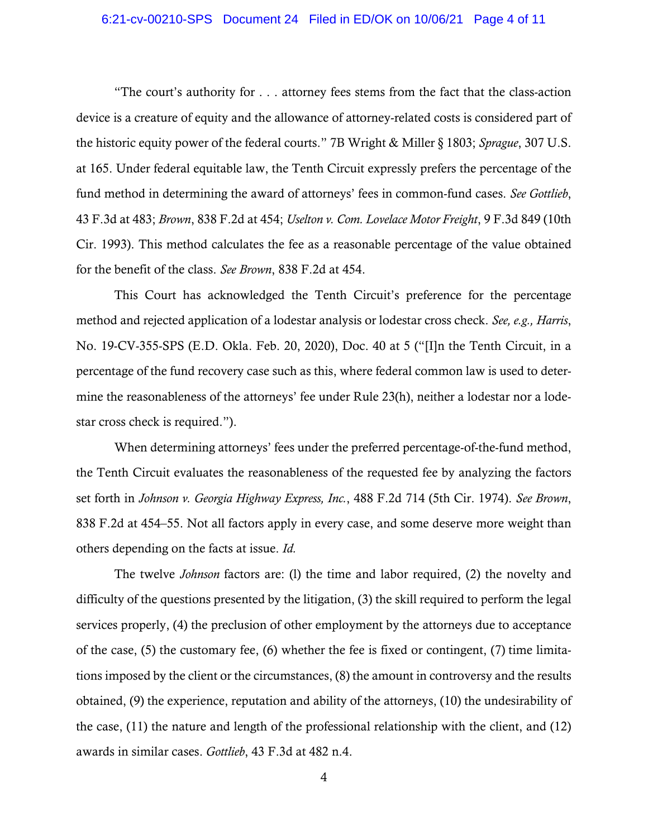#### 6:21-cv-00210-SPS Document 24 Filed in ED/OK on 10/06/21 Page 4 of 11

"The court's authority for . . . attorney fees stems from the fact that the class-action device is a creature of equity and the allowance of attorney-related costs is considered part of the historic equity power of the federal courts." 7B Wright & Miller § 1803; *Sprague*, 307 U.S. at 165. Under federal equitable law, the Tenth Circuit expressly prefers the percentage of the fund method in determining the award of attorneys' fees in common-fund cases. *See Gottlieb*, 43 F.3d at 483; *Brown*, 838 F.2d at 454; *Uselton v. Com. Lovelace Motor Freight*, 9 F.3d 849 (10th Cir. 1993). This method calculates the fee as a reasonable percentage of the value obtained for the benefit of the class. *See Brown*, 838 F.2d at 454.

This Court has acknowledged the Tenth Circuit's preference for the percentage method and rejected application of a lodestar analysis or lodestar cross check. *See, e.g., Harris*, No. 19-CV-355-SPS (E.D. Okla. Feb. 20, 2020), Doc. 40 at 5 ("[I]n the Tenth Circuit, in a percentage of the fund recovery case such as this, where federal common law is used to determine the reasonableness of the attorneys' fee under Rule 23(h), neither a lodestar nor a lodestar cross check is required.").

When determining attorneys' fees under the preferred percentage-of-the-fund method, the Tenth Circuit evaluates the reasonableness of the requested fee by analyzing the factors set forth in *Johnson v. Georgia Highway Express, Inc.*, 488 F.2d 714 (5th Cir. 1974). *See Brown*, 838 F.2d at 454–55. Not all factors apply in every case, and some deserve more weight than others depending on the facts at issue. *Id.*

The twelve *Johnson* factors are: (l) the time and labor required, (2) the novelty and difficulty of the questions presented by the litigation, (3) the skill required to perform the legal services properly, (4) the preclusion of other employment by the attorneys due to acceptance of the case, (5) the customary fee, (6) whether the fee is fixed or contingent, (7) time limitations imposed by the client or the circumstances, (8) the amount in controversy and the results obtained, (9) the experience, reputation and ability of the attorneys, (10) the undesirability of the case, (11) the nature and length of the professional relationship with the client, and (12) awards in similar cases. *Gottlieb*, 43 F.3d at 482 n.4.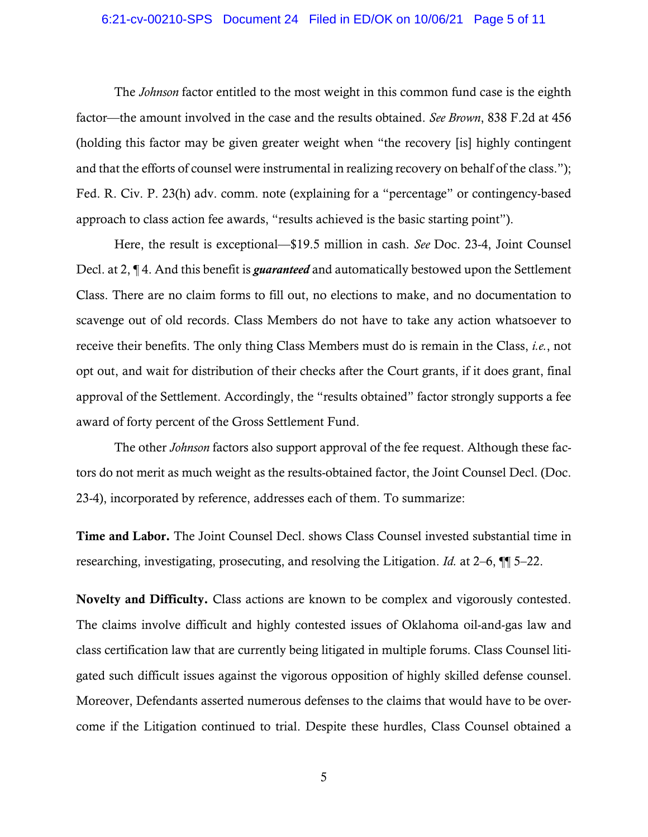#### 6:21-cv-00210-SPS Document 24 Filed in ED/OK on 10/06/21 Page 5 of 11

The *Johnson* factor entitled to the most weight in this common fund case is the eighth factor—the amount involved in the case and the results obtained. *See Brown*, 838 F.2d at 456 (holding this factor may be given greater weight when "the recovery [is] highly contingent and that the efforts of counsel were instrumental in realizing recovery on behalf of the class."); Fed. R. Civ. P. 23(h) adv. comm. note (explaining for a "percentage" or contingency-based approach to class action fee awards, "results achieved is the basic starting point").

Here, the result is exceptional—\$19.5 million in cash. *See* Doc. 23-4, Joint Counsel Decl. at 2, ¶ 4. And this benefit is *guaranteed* and automatically bestowed upon the Settlement Class. There are no claim forms to fill out, no elections to make, and no documentation to scavenge out of old records. Class Members do not have to take any action whatsoever to receive their benefits. The only thing Class Members must do is remain in the Class, *i.e.*, not opt out, and wait for distribution of their checks after the Court grants, if it does grant, final approval of the Settlement. Accordingly, the "results obtained" factor strongly supports a fee award of forty percent of the Gross Settlement Fund.

The other *Johnson* factors also support approval of the fee request. Although these factors do not merit as much weight as the results-obtained factor, the Joint Counsel Decl. (Doc. 23-4), incorporated by reference, addresses each of them. To summarize:

Time and Labor. The Joint Counsel Decl. shows Class Counsel invested substantial time in researching, investigating, prosecuting, and resolving the Litigation. *Id.* at 2–6, ¶¶ 5–22.

Novelty and Difficulty. Class actions are known to be complex and vigorously contested. The claims involve difficult and highly contested issues of Oklahoma oil-and-gas law and class certification law that are currently being litigated in multiple forums. Class Counsel litigated such difficult issues against the vigorous opposition of highly skilled defense counsel. Moreover, Defendants asserted numerous defenses to the claims that would have to be overcome if the Litigation continued to trial. Despite these hurdles, Class Counsel obtained a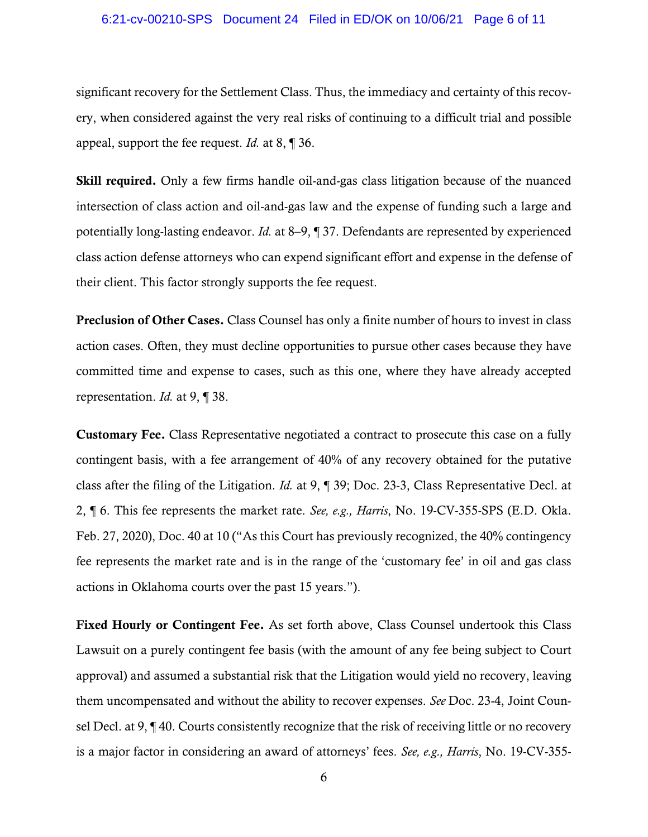#### 6:21-cv-00210-SPS Document 24 Filed in ED/OK on 10/06/21 Page 6 of 11

significant recovery for the Settlement Class. Thus, the immediacy and certainty of this recovery, when considered against the very real risks of continuing to a difficult trial and possible appeal, support the fee request. *Id.* at 8, ¶ 36.

Skill required. Only a few firms handle oil-and-gas class litigation because of the nuanced intersection of class action and oil-and-gas law and the expense of funding such a large and potentially long-lasting endeavor. *Id.* at 8–9, ¶ 37. Defendants are represented by experienced class action defense attorneys who can expend significant effort and expense in the defense of their client. This factor strongly supports the fee request.

Preclusion of Other Cases. Class Counsel has only a finite number of hours to invest in class action cases. Often, they must decline opportunities to pursue other cases because they have committed time and expense to cases, such as this one, where they have already accepted representation. *Id.* at 9, ¶ 38.

Customary Fee. Class Representative negotiated a contract to prosecute this case on a fully contingent basis, with a fee arrangement of 40% of any recovery obtained for the putative class after the filing of the Litigation. *Id.* at 9, ¶ 39; Doc. 23-3, Class Representative Decl. at 2, ¶ 6. This fee represents the market rate. *See, e.g., Harris*, No. 19-CV-355-SPS (E.D. Okla. Feb. 27, 2020), Doc. 40 at 10 ("As this Court has previously recognized, the 40% contingency fee represents the market rate and is in the range of the 'customary fee' in oil and gas class actions in Oklahoma courts over the past 15 years.").

Fixed Hourly or Contingent Fee. As set forth above, Class Counsel undertook this Class Lawsuit on a purely contingent fee basis (with the amount of any fee being subject to Court approval) and assumed a substantial risk that the Litigation would yield no recovery, leaving them uncompensated and without the ability to recover expenses. *See* Doc. 23-4, Joint Counsel Decl. at 9, ¶ 40. Courts consistently recognize that the risk of receiving little or no recovery is a major factor in considering an award of attorneys' fees. *See, e.g., Harris*, No. 19-CV-355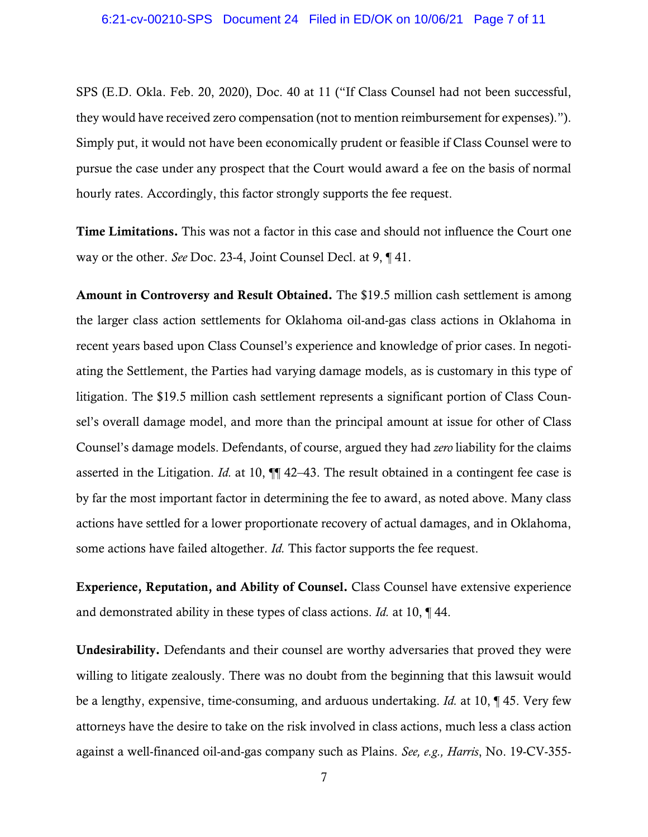SPS (E.D. Okla. Feb. 20, 2020), Doc. 40 at 11 ("If Class Counsel had not been successful, they would have received zero compensation (not to mention reimbursement for expenses)."). Simply put, it would not have been economically prudent or feasible if Class Counsel were to pursue the case under any prospect that the Court would award a fee on the basis of normal hourly rates. Accordingly, this factor strongly supports the fee request.

Time Limitations. This was not a factor in this case and should not influence the Court one way or the other. *See* Doc. 23-4, Joint Counsel Decl. at 9, ¶ 41.

Amount in Controversy and Result Obtained. The \$19.5 million cash settlement is among the larger class action settlements for Oklahoma oil-and-gas class actions in Oklahoma in recent years based upon Class Counsel's experience and knowledge of prior cases. In negotiating the Settlement, the Parties had varying damage models, as is customary in this type of litigation. The \$19.5 million cash settlement represents a significant portion of Class Counsel's overall damage model, and more than the principal amount at issue for other of Class Counsel's damage models. Defendants, of course, argued they had *zero* liability for the claims asserted in the Litigation. *Id.* at 10, ¶¶ 42–43. The result obtained in a contingent fee case is by far the most important factor in determining the fee to award, as noted above. Many class actions have settled for a lower proportionate recovery of actual damages, and in Oklahoma, some actions have failed altogether. *Id.* This factor supports the fee request.

Experience, Reputation, and Ability of Counsel. Class Counsel have extensive experience and demonstrated ability in these types of class actions. *Id.* at 10, ¶ 44.

Undesirability. Defendants and their counsel are worthy adversaries that proved they were willing to litigate zealously. There was no doubt from the beginning that this lawsuit would be a lengthy, expensive, time-consuming, and arduous undertaking. *Id.* at 10, ¶ 45. Very few attorneys have the desire to take on the risk involved in class actions, much less a class action against a well-financed oil-and-gas company such as Plains. *See, e.g., Harris*, No. 19-CV-355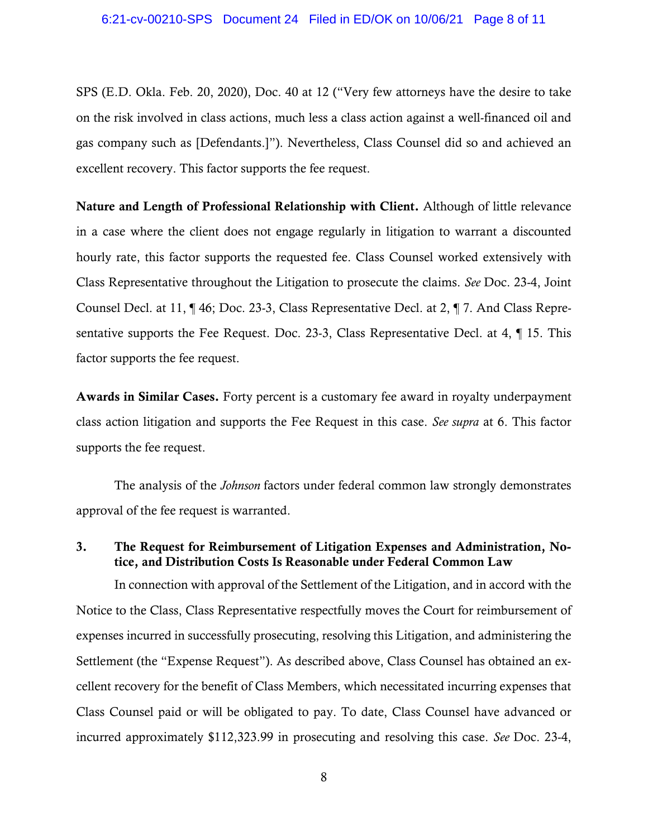SPS (E.D. Okla. Feb. 20, 2020), Doc. 40 at 12 ("Very few attorneys have the desire to take on the risk involved in class actions, much less a class action against a well-financed oil and gas company such as [Defendants.]"). Nevertheless, Class Counsel did so and achieved an excellent recovery. This factor supports the fee request.

Nature and Length of Professional Relationship with Client. Although of little relevance in a case where the client does not engage regularly in litigation to warrant a discounted hourly rate, this factor supports the requested fee. Class Counsel worked extensively with Class Representative throughout the Litigation to prosecute the claims. *See* Doc. 23-4, Joint Counsel Decl. at 11, ¶ 46; Doc. 23-3, Class Representative Decl. at 2, ¶ 7. And Class Representative supports the Fee Request. Doc. 23-3, Class Representative Decl. at 4, ¶ 15. This factor supports the fee request.

Awards in Similar Cases. Forty percent is a customary fee award in royalty underpayment class action litigation and supports the Fee Request in this case. *See supra* at 6. This factor supports the fee request.

The analysis of the *Johnson* factors under federal common law strongly demonstrates approval of the fee request is warranted.

# 3. The Request for Reimbursement of Litigation Expenses and Administration, Notice, and Distribution Costs Is Reasonable under Federal Common Law

In connection with approval of the Settlement of the Litigation, and in accord with the Notice to the Class, Class Representative respectfully moves the Court for reimbursement of expenses incurred in successfully prosecuting, resolving this Litigation, and administering the Settlement (the "Expense Request"). As described above, Class Counsel has obtained an excellent recovery for the benefit of Class Members, which necessitated incurring expenses that Class Counsel paid or will be obligated to pay. To date, Class Counsel have advanced or incurred approximately \$112,323.99 in prosecuting and resolving this case. *See* Doc. 23-4,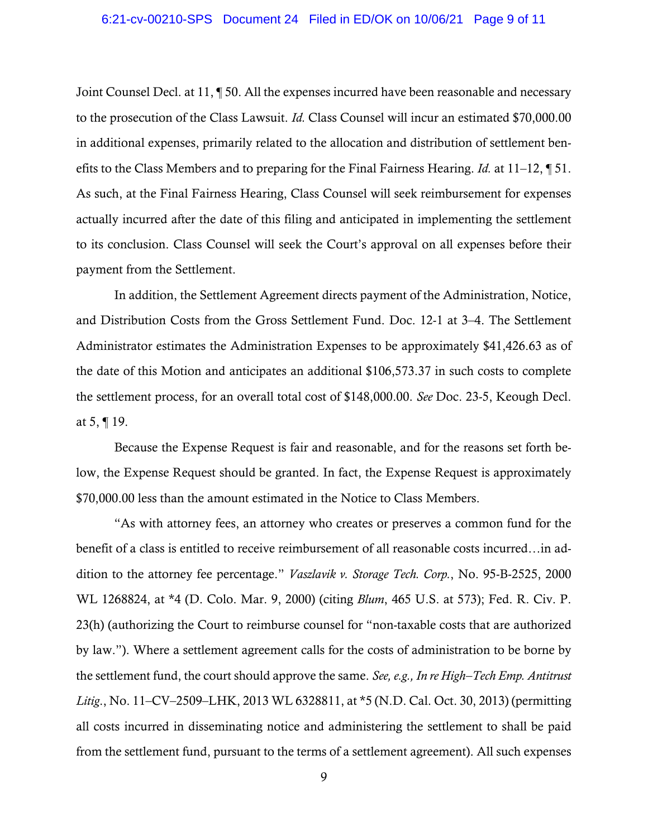Joint Counsel Decl. at 11, ¶ 50. All the expenses incurred have been reasonable and necessary to the prosecution of the Class Lawsuit. *Id.* Class Counsel will incur an estimated \$70,000.00 in additional expenses, primarily related to the allocation and distribution of settlement benefits to the Class Members and to preparing for the Final Fairness Hearing. *Id.* at 11–12, ¶ 51. As such, at the Final Fairness Hearing, Class Counsel will seek reimbursement for expenses actually incurred after the date of this filing and anticipated in implementing the settlement to its conclusion. Class Counsel will seek the Court's approval on all expenses before their payment from the Settlement.

In addition, the Settlement Agreement directs payment of the Administration, Notice, and Distribution Costs from the Gross Settlement Fund. Doc. 12-1 at 3–4. The Settlement Administrator estimates the Administration Expenses to be approximately \$41,426.63 as of the date of this Motion and anticipates an additional \$106,573.37 in such costs to complete the settlement process, for an overall total cost of \$148,000.00. *See* Doc. 23-5, Keough Decl. at 5, ¶ 19.

Because the Expense Request is fair and reasonable, and for the reasons set forth below, the Expense Request should be granted. In fact, the Expense Request is approximately \$70,000.00 less than the amount estimated in the Notice to Class Members.

"As with attorney fees, an attorney who creates or preserves a common fund for the benefit of a class is entitled to receive reimbursement of all reasonable costs incurred…in addition to the attorney fee percentage." *Vaszlavik v. Storage Tech. Corp.*, No. 95-B-2525, 2000 WL 1268824, at \*4 (D. Colo. Mar. 9, 2000) (citing *Blum*, 465 U.S. at 573); Fed. R. Civ. P. 23(h) (authorizing the Court to reimburse counsel for "non-taxable costs that are authorized by law."). Where a settlement agreement calls for the costs of administration to be borne by the settlement fund, the court should approve the same. *See, e.g., In re High–Tech Emp. Antitrust Litig*., No. 11–CV–2509–LHK, 2013 WL 6328811, at \*5 (N.D. Cal. Oct. 30, 2013) (permitting all costs incurred in disseminating notice and administering the settlement to shall be paid from the settlement fund, pursuant to the terms of a settlement agreement). All such expenses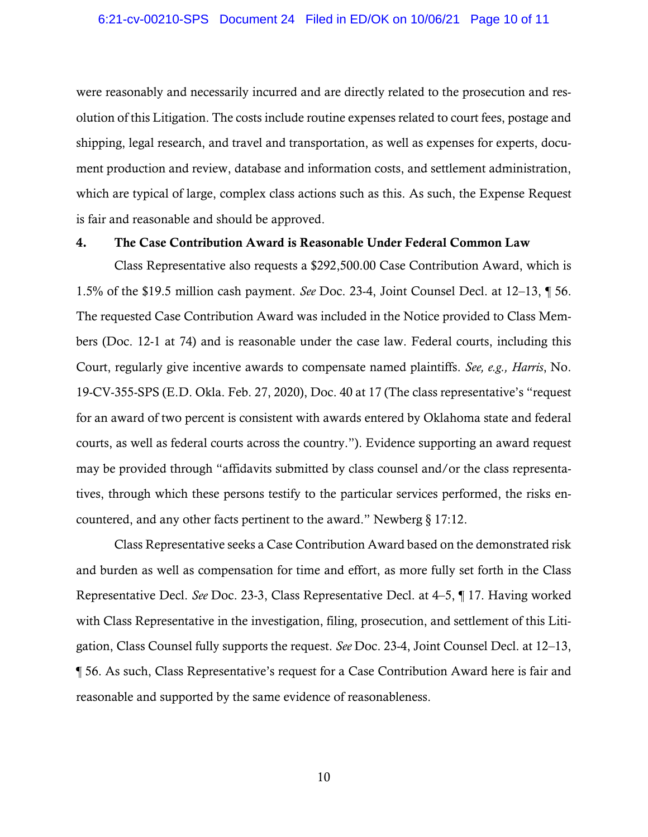were reasonably and necessarily incurred and are directly related to the prosecution and resolution of this Litigation. The costs include routine expenses related to court fees, postage and shipping, legal research, and travel and transportation, as well as expenses for experts, document production and review, database and information costs, and settlement administration, which are typical of large, complex class actions such as this. As such, the Expense Request is fair and reasonable and should be approved.

#### 4. The Case Contribution Award is Reasonable Under Federal Common Law

Class Representative also requests a \$292,500.00 Case Contribution Award, which is 1.5% of the \$19.5 million cash payment. *See* Doc. 23-4, Joint Counsel Decl. at 12–13, ¶ 56. The requested Case Contribution Award was included in the Notice provided to Class Members (Doc. 12-1 at 74) and is reasonable under the case law. Federal courts, including this Court, regularly give incentive awards to compensate named plaintiffs. *See, e.g., Harris*, No. 19-CV-355-SPS (E.D. Okla. Feb. 27, 2020), Doc. 40 at 17 (The class representative's "request for an award of two percent is consistent with awards entered by Oklahoma state and federal courts, as well as federal courts across the country."). Evidence supporting an award request may be provided through "affidavits submitted by class counsel and/or the class representatives, through which these persons testify to the particular services performed, the risks encountered, and any other facts pertinent to the award." Newberg § 17:12.

Class Representative seeks a Case Contribution Award based on the demonstrated risk and burden as well as compensation for time and effort, as more fully set forth in the Class Representative Decl. *See* Doc. 23-3, Class Representative Decl. at 4–5, ¶ 17. Having worked with Class Representative in the investigation, filing, prosecution, and settlement of this Litigation, Class Counsel fully supports the request. *See* Doc. 23-4, Joint Counsel Decl. at 12–13, ¶ 56. As such, Class Representative's request for a Case Contribution Award here is fair and reasonable and supported by the same evidence of reasonableness.